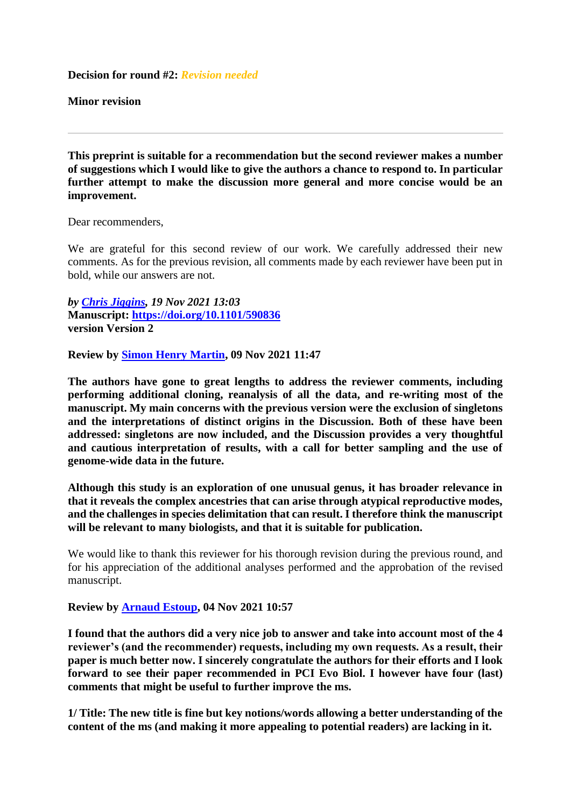**Decision for round #2:** *Revision needed*

**Minor revision**

**This preprint is suitable for a recommendation but the second reviewer makes a number of suggestions which I would like to give the authors a chance to respond to. In particular further attempt to make the discussion more general and more concise would be an improvement.**

Dear recommenders,

We are grateful for this second review of our work. We carefully addressed their new comments. As for the previous revision, all comments made by each reviewer have been put in bold, while our answers are not.

*by [Chris Jiggins,](https://evolbiol.peercommunityin.org/public/user_public_page?userId=869) 19 Nov 2021 13:03* **Manuscript:<https://doi.org/10.1101/590836> version Version 2** 

**Review by [Simon Henry Martin,](https://evolbiol.peercommunityin.org/public/user_public_page?userId=1239) 09 Nov 2021 11:47**

**The authors have gone to great lengths to address the reviewer comments, including performing additional cloning, reanalysis of all the data, and re-writing most of the manuscript. My main concerns with the previous version were the exclusion of singletons and the interpretations of distinct origins in the Discussion. Both of these have been addressed: singletons are now included, and the Discussion provides a very thoughtful and cautious interpretation of results, with a call for better sampling and the use of genome-wide data in the future.**

**Although this study is an exploration of one unusual genus, it has broader relevance in that it reveals the complex ancestries that can arise through atypical reproductive modes, and the challenges in species delimitation that can result. I therefore think the manuscript will be relevant to many biologists, and that it is suitable for publication.**

We would like to thank this reviewer for his thorough revision during the previous round, and for his appreciation of the additional analyses performed and the approbation of the revised manuscript.

**Review by [Arnaud Estoup,](https://evolbiol.peercommunityin.org/public/user_public_page?userId=383) 04 Nov 2021 10:57**

**I found that the authors did a very nice job to answer and take into account most of the 4 reviewer's (and the recommender) requests, including my own requests. As a result, their paper is much better now. I sincerely congratulate the authors for their efforts and I look forward to see their paper recommended in PCI Evo Biol. I however have four (last) comments that might be useful to further improve the ms.**

**1/ Title: The new title is fine but key notions/words allowing a better understanding of the content of the ms (and making it more appealing to potential readers) are lacking in it.**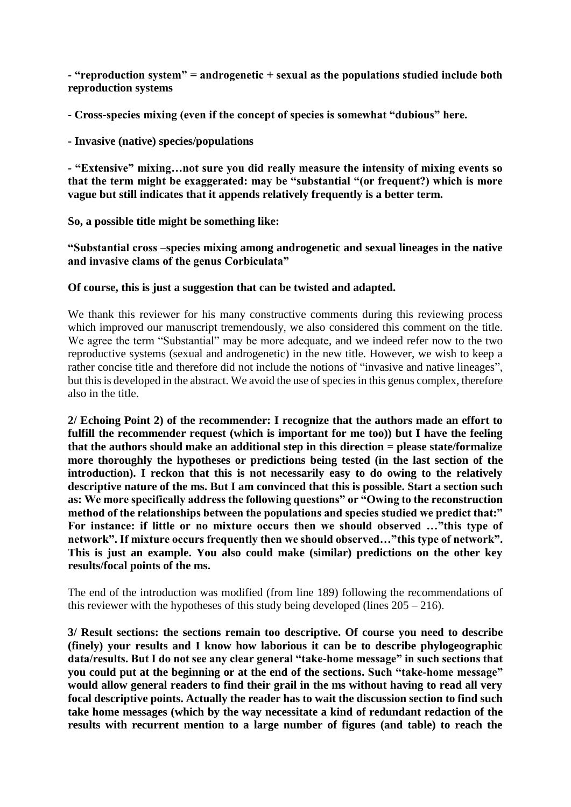**- "reproduction system" = androgenetic + sexual as the populations studied include both reproduction systems**

**- Cross-species mixing (even if the concept of species is somewhat "dubious" here.**

**- Invasive (native) species/populations**

**- "Extensive" mixing…not sure you did really measure the intensity of mixing events so that the term might be exaggerated: may be "substantial "(or frequent?) which is more vague but still indicates that it appends relatively frequently is a better term.**

**So, a possible title might be something like:**

**"Substantial cross –species mixing among androgenetic and sexual lineages in the native and invasive clams of the genus Corbiculata"**

### **Of course, this is just a suggestion that can be twisted and adapted.**

We thank this reviewer for his many constructive comments during this reviewing process which improved our manuscript tremendously, we also considered this comment on the title. We agree the term "Substantial" may be more adequate, and we indeed refer now to the two reproductive systems (sexual and androgenetic) in the new title. However, we wish to keep a rather concise title and therefore did not include the notions of "invasive and native lineages", but this is developed in the abstract. We avoid the use of species in this genus complex, therefore also in the title.

**2/ Echoing Point 2) of the recommender: I recognize that the authors made an effort to fulfill the recommender request (which is important for me too)) but I have the feeling that the authors should make an additional step in this direction = please state/formalize more thoroughly the hypotheses or predictions being tested (in the last section of the introduction). I reckon that this is not necessarily easy to do owing to the relatively descriptive nature of the ms. But I am convinced that this is possible. Start a section such as: We more specifically address the following questions" or "Owing to the reconstruction method of the relationships between the populations and species studied we predict that:" For instance: if little or no mixture occurs then we should observed …"this type of network". If mixture occurs frequently then we should observed…"this type of network". This is just an example. You also could make (similar) predictions on the other key results/focal points of the ms.**

The end of the introduction was modified (from line 189) following the recommendations of this reviewer with the hypotheses of this study being developed (lines  $205 - 216$ ).

**3/ Result sections: the sections remain too descriptive. Of course you need to describe (finely) your results and I know how laborious it can be to describe phylogeographic data/results. But I do not see any clear general "take-home message" in such sections that you could put at the beginning or at the end of the sections. Such "take-home message" would allow general readers to find their grail in the ms without having to read all very focal descriptive points. Actually the reader has to wait the discussion section to find such take home messages (which by the way necessitate a kind of redundant redaction of the results with recurrent mention to a large number of figures (and table) to reach the**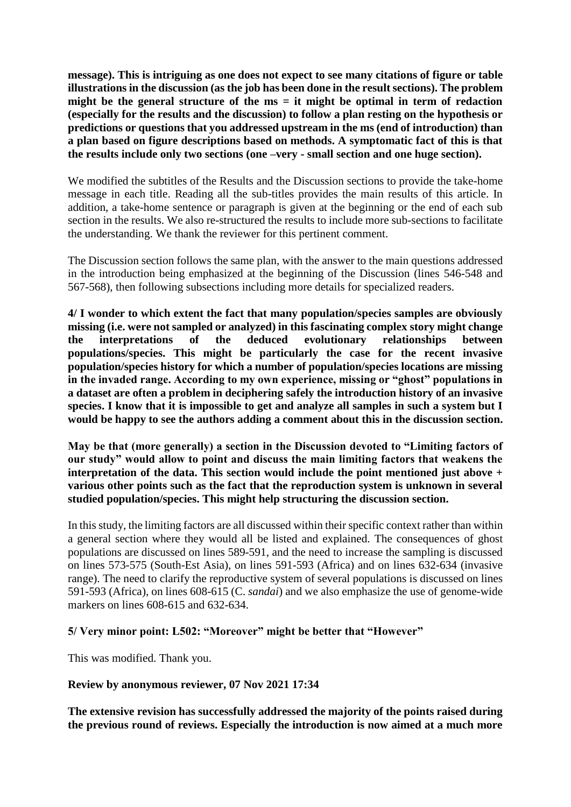**message). This is intriguing as one does not expect to see many citations of figure or table illustrations in the discussion (as the job has been done in the result sections). The problem**  might be the general structure of the ms = it might be optimal in term of redaction **(especially for the results and the discussion) to follow a plan resting on the hypothesis or predictions or questions that you addressed upstream in the ms (end of introduction) than a plan based on figure descriptions based on methods. A symptomatic fact of this is that the results include only two sections (one –very - small section and one huge section).**

We modified the subtitles of the Results and the Discussion sections to provide the take-home message in each title. Reading all the sub-titles provides the main results of this article. In addition, a take-home sentence or paragraph is given at the beginning or the end of each sub section in the results. We also re-structured the results to include more sub-sections to facilitate the understanding. We thank the reviewer for this pertinent comment.

The Discussion section follows the same plan, with the answer to the main questions addressed in the introduction being emphasized at the beginning of the Discussion (lines 546-548 and 567-568), then following subsections including more details for specialized readers.

**4/ I wonder to which extent the fact that many population/species samples are obviously missing (i.e. were not sampled or analyzed) in this fascinating complex story might change the interpretations of the deduced evolutionary relationships between populations/species. This might be particularly the case for the recent invasive population/species history for which a number of population/species locations are missing in the invaded range. According to my own experience, missing or "ghost" populations in a dataset are often a problem in deciphering safely the introduction history of an invasive species. I know that it is impossible to get and analyze all samples in such a system but I would be happy to see the authors adding a comment about this in the discussion section.**

**May be that (more generally) a section in the Discussion devoted to "Limiting factors of our study" would allow to point and discuss the main limiting factors that weakens the interpretation of the data. This section would include the point mentioned just above + various other points such as the fact that the reproduction system is unknown in several studied population/species. This might help structuring the discussion section.**

In this study, the limiting factors are all discussed within their specific context rather than within a general section where they would all be listed and explained. The consequences of ghost populations are discussed on lines 589-591, and the need to increase the sampling is discussed on lines 573-575 (South-Est Asia), on lines 591-593 (Africa) and on lines 632-634 (invasive range). The need to clarify the reproductive system of several populations is discussed on lines 591-593 (Africa), on lines 608-615 (C. *sandai*) and we also emphasize the use of genome-wide markers on lines 608-615 and 632-634.

### **5/ Very minor point: L502: "Moreover" might be better that "However"**

This was modified. Thank you.

#### **Review by anonymous reviewer, 07 Nov 2021 17:34**

**The extensive revision has successfully addressed the majority of the points raised during the previous round of reviews. Especially the introduction is now aimed at a much more**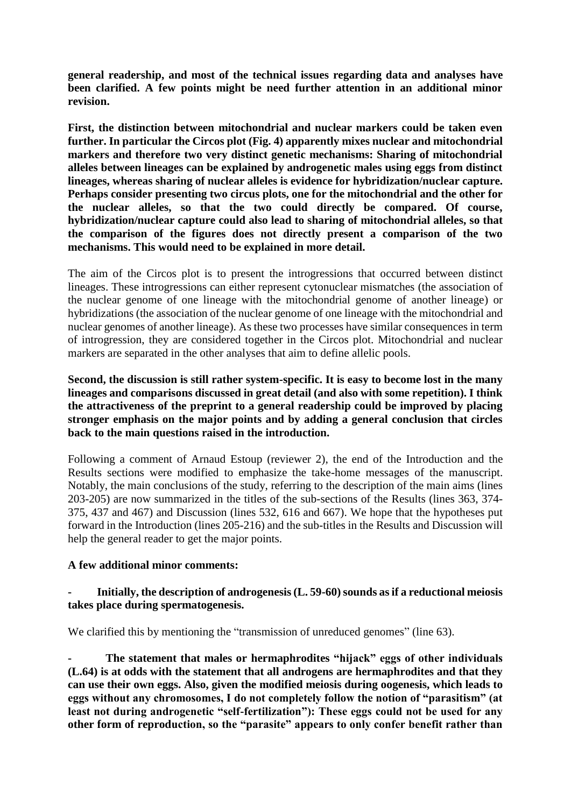**general readership, and most of the technical issues regarding data and analyses have been clarified. A few points might be need further attention in an additional minor revision.**

**First, the distinction between mitochondrial and nuclear markers could be taken even further. In particular the Circos plot (Fig. 4) apparently mixes nuclear and mitochondrial markers and therefore two very distinct genetic mechanisms: Sharing of mitochondrial alleles between lineages can be explained by androgenetic males using eggs from distinct lineages, whereas sharing of nuclear alleles is evidence for hybridization/nuclear capture. Perhaps consider presenting two circus plots, one for the mitochondrial and the other for the nuclear alleles, so that the two could directly be compared. Of course, hybridization/nuclear capture could also lead to sharing of mitochondrial alleles, so that the comparison of the figures does not directly present a comparison of the two mechanisms. This would need to be explained in more detail.**

The aim of the Circos plot is to present the introgressions that occurred between distinct lineages. These introgressions can either represent cytonuclear mismatches (the association of the nuclear genome of one lineage with the mitochondrial genome of another lineage) or hybridizations (the association of the nuclear genome of one lineage with the mitochondrial and nuclear genomes of another lineage). As these two processes have similar consequences in term of introgression, they are considered together in the Circos plot. Mitochondrial and nuclear markers are separated in the other analyses that aim to define allelic pools.

**Second, the discussion is still rather system-specific. It is easy to become lost in the many lineages and comparisons discussed in great detail (and also with some repetition). I think the attractiveness of the preprint to a general readership could be improved by placing stronger emphasis on the major points and by adding a general conclusion that circles back to the main questions raised in the introduction.**

Following a comment of Arnaud Estoup (reviewer 2), the end of the Introduction and the Results sections were modified to emphasize the take-home messages of the manuscript. Notably, the main conclusions of the study, referring to the description of the main aims (lines 203-205) are now summarized in the titles of the sub-sections of the Results (lines 363, 374- 375, 437 and 467) and Discussion (lines 532, 616 and 667). We hope that the hypotheses put forward in the Introduction (lines 205-216) and the sub-titles in the Results and Discussion will help the general reader to get the major points.

### **A few additional minor comments:**

#### **- Initially, the description of androgenesis (L. 59-60) sounds as if a reductional meiosis takes place during spermatogenesis.**

We clarified this by mentioning the "transmission of unreduced genomes" (line 63).

**- The statement that males or hermaphrodites "hijack" eggs of other individuals (L.64) is at odds with the statement that all androgens are hermaphrodites and that they can use their own eggs. Also, given the modified meiosis during oogenesis, which leads to eggs without any chromosomes, I do not completely follow the notion of "parasitism" (at least not during androgenetic "self-fertilization"): These eggs could not be used for any other form of reproduction, so the "parasite" appears to only confer benefit rather than**